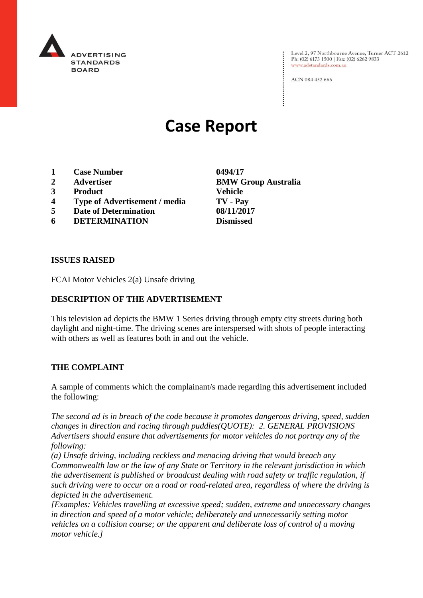

Level 2, 97 Northbourne Avenue, Turner ACT 2612 Ph: (02) 6173 1500 | Fax: (02) 6262 9833 www.adstandards.com.au

ACN 084 452 666

# **Case Report**

- **1 Case Number 0494/17**
- 
- **3 Product Vehicle**
- **4 Type of Advertisement / media TV - Pay**
- **5 Date of Determination 08/11/2017**
- **6 DETERMINATION Dismissed**

**2 Advertiser BMW Group Australia**

#### **ISSUES RAISED**

FCAI Motor Vehicles 2(a) Unsafe driving

# **DESCRIPTION OF THE ADVERTISEMENT**

This television ad depicts the BMW 1 Series driving through empty city streets during both daylight and night-time. The driving scenes are interspersed with shots of people interacting with others as well as features both in and out the vehicle.

### **THE COMPLAINT**

A sample of comments which the complainant/s made regarding this advertisement included the following:

*The second ad is in breach of the code because it promotes dangerous driving, speed, sudden changes in direction and racing through puddles(QUOTE): 2. GENERAL PROVISIONS Advertisers should ensure that advertisements for motor vehicles do not portray any of the following:*

*(a) Unsafe driving, including reckless and menacing driving that would breach any Commonwealth law or the law of any State or Territory in the relevant jurisdiction in which the advertisement is published or broadcast dealing with road safety or traffic regulation, if such driving were to occur on a road or road-related area, regardless of where the driving is depicted in the advertisement.*

*[Examples: Vehicles travelling at excessive speed; sudden, extreme and unnecessary changes in direction and speed of a motor vehicle; deliberately and unnecessarily setting motor vehicles on a collision course; or the apparent and deliberate loss of control of a moving motor vehicle.]*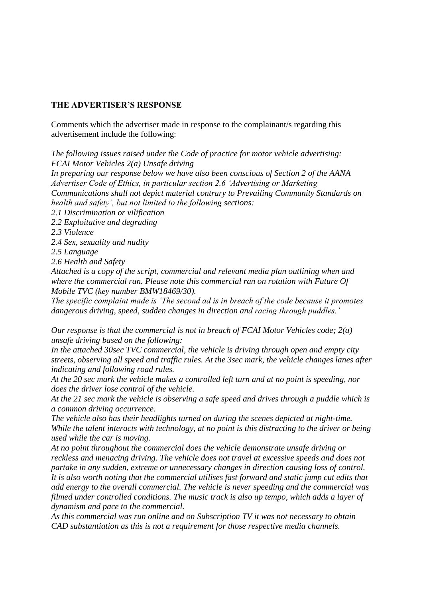#### **THE ADVERTISER'S RESPONSE**

Comments which the advertiser made in response to the complainant/s regarding this advertisement include the following:

*The following issues raised under the Code of practice for motor vehicle advertising: FCAI Motor Vehicles 2(a) Unsafe driving*

*In preparing our response below we have also been conscious of Section 2 of the AANA Advertiser Code of Ethics, in particular section 2.6 'Advertising or Marketing Communications shall not depict material contrary to Prevailing Community Standards on health and safety', but not limited to the following sections:*

*2.1 Discrimination or vilification*

*2.2 Exploitative and degrading*

*2.3 Violence*

*2.4 Sex, sexuality and nudity*

*2.5 Language*

*2.6 Health and Safety*

*Attached is a copy of the script, commercial and relevant media plan outlining when and where the commercial ran. Please note this commercial ran on rotation with Future Of Mobile TVC (key number BMW18469/30).*

*The specific complaint made is 'The second ad is in breach of the code because it promotes dangerous driving, speed, sudden changes in direction and racing through puddles.'*

*Our response is that the commercial is not in breach of FCAI Motor Vehicles code; 2(a) unsafe driving based on the following:*

*In the attached 30sec TVC commercial, the vehicle is driving through open and empty city streets, observing all speed and traffic rules. At the 3sec mark, the vehicle changes lanes after indicating and following road rules.*

*At the 20 sec mark the vehicle makes a controlled left turn and at no point is speeding, nor does the driver lose control of the vehicle.*

*At the 21 sec mark the vehicle is observing a safe speed and drives through a puddle which is a common driving occurrence.*

*The vehicle also has their headlights turned on during the scenes depicted at night-time. While the talent interacts with technology, at no point is this distracting to the driver or being used while the car is moving.*

*At no point throughout the commercial does the vehicle demonstrate unsafe driving or reckless and menacing driving. The vehicle does not travel at excessive speeds and does not partake in any sudden, extreme or unnecessary changes in direction causing loss of control. It is also worth noting that the commercial utilises fast forward and static jump cut edits that add energy to the overall commercial. The vehicle is never speeding and the commercial was filmed under controlled conditions. The music track is also up tempo, which adds a layer of dynamism and pace to the commercial.*

*As this commercial was run online and on Subscription TV it was not necessary to obtain CAD substantiation as this is not a requirement for those respective media channels.*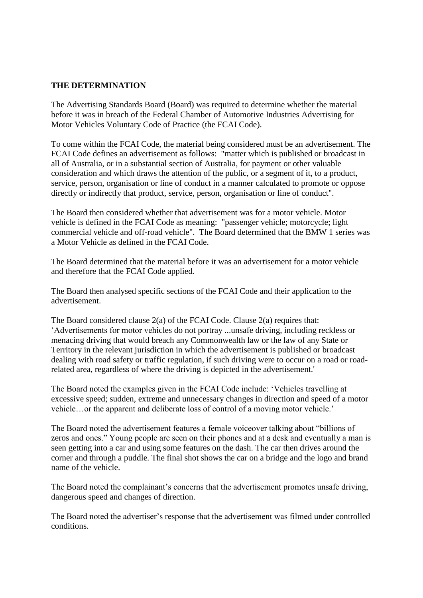## **THE DETERMINATION**

The Advertising Standards Board (Board) was required to determine whether the material before it was in breach of the Federal Chamber of Automotive Industries Advertising for Motor Vehicles Voluntary Code of Practice (the FCAI Code).

To come within the FCAI Code, the material being considered must be an advertisement. The FCAI Code defines an advertisement as follows: "matter which is published or broadcast in all of Australia, or in a substantial section of Australia, for payment or other valuable consideration and which draws the attention of the public, or a segment of it, to a product, service, person, organisation or line of conduct in a manner calculated to promote or oppose directly or indirectly that product, service, person, organisation or line of conduct".

The Board then considered whether that advertisement was for a motor vehicle. Motor vehicle is defined in the FCAI Code as meaning: "passenger vehicle; motorcycle; light commercial vehicle and off-road vehicle". The Board determined that the BMW 1 series was a Motor Vehicle as defined in the FCAI Code.

The Board determined that the material before it was an advertisement for a motor vehicle and therefore that the FCAI Code applied.

The Board then analysed specific sections of the FCAI Code and their application to the advertisement.

The Board considered clause 2(a) of the FCAI Code. Clause 2(a) requires that: 'Advertisements for motor vehicles do not portray ...unsafe driving, including reckless or menacing driving that would breach any Commonwealth law or the law of any State or Territory in the relevant jurisdiction in which the advertisement is published or broadcast dealing with road safety or traffic regulation, if such driving were to occur on a road or roadrelated area, regardless of where the driving is depicted in the advertisement.'

The Board noted the examples given in the FCAI Code include: 'Vehicles travelling at excessive speed; sudden, extreme and unnecessary changes in direction and speed of a motor vehicle…or the apparent and deliberate loss of control of a moving motor vehicle.'

The Board noted the advertisement features a female voiceover talking about "billions of zeros and ones." Young people are seen on their phones and at a desk and eventually a man is seen getting into a car and using some features on the dash. The car then drives around the corner and through a puddle. The final shot shows the car on a bridge and the logo and brand name of the vehicle.

The Board noted the complainant's concerns that the advertisement promotes unsafe driving, dangerous speed and changes of direction.

The Board noted the advertiser's response that the advertisement was filmed under controlled conditions.